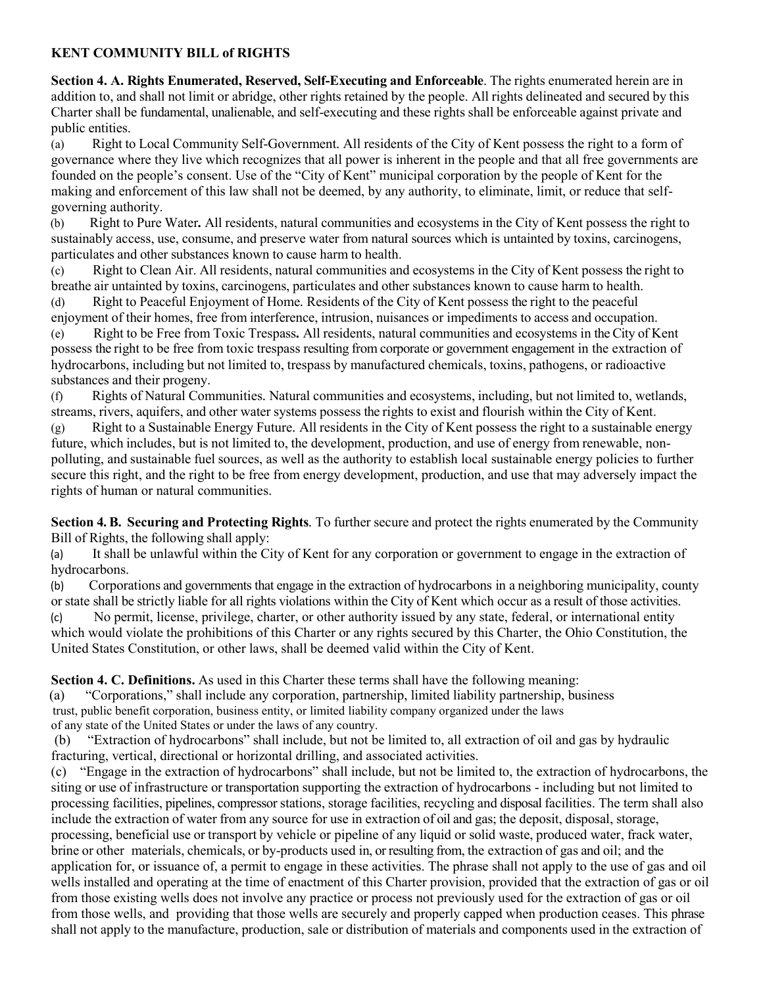### **KENT COMMUNITY BILL of RIGHTS**

**Section 4. A. Rights Enumerated, Reserved, Self-Executing and Enforceable**. The rights enumerated herein are in addition to, and shall not limit or abridge, other rights retained by the people. All rights delineated and secured by this Charter shall be fundamental, unalienable, and self-executing and these rights shall be enforceable against private and public entities.

(a) Right to Local Community Self-Government*.* All residents of the City of Kent possess the right to a form of governance where they live which recognizes that all power is inherent in the people and that all free governments are founded on the people's consent. Use of the "City of Kent" municipal corporation by the people of Kent for the making and enforcement of this law shall not be deemed, by any authority, to eliminate, limit, or reduce that selfgoverning authority.

(b) Right to Pure Water*.* All residents, natural communities and ecosystems in the City of Kent possess the right to sustainably access, use, consume, and preserve water from natural sources which is untainted by toxins, carcinogens, particulates and other substances known to cause harm to health.

(c) Right to Clean Air. All residents, natural communities and ecosystems in the City of Kent possess the right to breathe air untainted by toxins, carcinogens, particulates and other substances known to cause harm to health. (d) Right to Peaceful Enjoyment of Home*.* Residents of the City of Kent possess the right to the peaceful

enjoyment of their homes, free from interference, intrusion, nuisances or impediments to access and occupation.

(e) Right to be Free from Toxic Trespass*.* All residents, natural communities and ecosystems in the City of Kent possess the right to be free from toxic trespass resulting from corporate or government engagement in the extraction of hydrocarbons, including but not limited to, trespass by manufactured chemicals, toxins, pathogens, or radioactive substances and their progeny.

(f) Rights of Natural Communities*.* Natural communities and ecosystems, including, but not limited to, wetlands, streams, rivers, aquifers, and other water systems possess the rights to exist and flourish within the City of Kent.

(g) Right to a Sustainable Energy Future*.* All residents in the City of Kent possess the right to a sustainable energy future, which includes, but is not limited to, the development, production, and use of energy from renewable, nonpolluting, and sustainable fuel sources, as well as the authority to establish local sustainable energy policies to further secure this right, and the right to be free from energy development, production, and use that may adversely impact the rights of human or natural communities.

**Section 4. B. Securing and Protecting Rights***.* To further secure and protect the rights enumerated by the Community Bill of Rights, the following shall apply:

(a) It shall be unlawful within the City of Kent for any corporation or government to engage in the extraction of hydrocarbons.

(b) Corporations and governments that engage in the extraction of hydrocarbons in a neighboring municipality, county or state shall be strictly liable for all rights violations within the City of Kent which occur as a result of those activities. (c) No permit, license, privilege, charter, or other authority issued by any state, federal, or international entity which would violate the prohibitions of this Charter or any rights secured by this Charter, the Ohio Constitution, the United States Constitution, or other laws, shall be deemed valid within the City of Kent.

**Section 4. C. Definitions.** As used in this Charter these terms shall have the following meaning:

(a)"Corporations," shall include any corporation, partnership, limited liability partnership, business trust, public benefit corporation, business entity, or limited liability company organized under the laws of any state of the United States or under the laws of any country.

(b) "Extraction of hydrocarbons" shall include, but not be limited to, all extraction of oil and gas by hydraulic fracturing, vertical, directional or horizontal drilling, and associated activities.

(c) "Engage in the extraction of hydrocarbons" shall include, but not be limited to, the extraction of hydrocarbons, the siting or use of infrastructure or transportation supporting the extraction of hydrocarbons - including but not limited to processing facilities, pipelines, compressor stations, storage facilities, recycling and disposal facilities. The term shall also include the extraction of water from any source for use in extraction of oil and gas; the deposit, disposal, storage, processing, beneficial use or transport by vehicle or pipeline of any liquid or solid waste, produced water, frack water, brine or other materials, chemicals, or by-products used in, or resulting from, the extraction of gas and oil; and the application for, or issuance of, a permit to engage in these activities. The phrase shall not apply to the use of gas and oil wells installed and operating at the time of enactment of this Charter provision, provided that the extraction of gas or oil from those existing wells does not involve any practice or process not previously used for the extraction of gas or oil from those wells, and providing that those wells are securely and properly capped when production ceases. This phrase shall not apply to the manufacture, production, sale or distribution of materials and components used in the extraction of